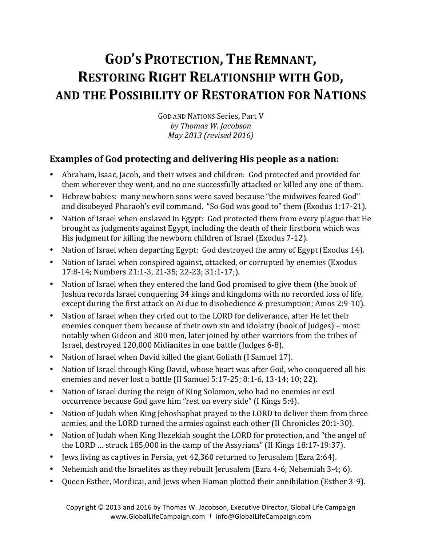# **GOD'S PROTECTION, THE REMNANT, RESTORING RIGHT RELATIONSHIP WITH GOD, AND THE POSSIBILITY OF RESTORATION FOR NATIONS**

GOD AND NATIONS Series, Part V *by Thomas W. Jacobson May 2013 (revised 2016)*

# **Examples of God protecting and delivering His people as a nation:**

- Abraham, Isaac, Jacob, and their wives and children: God protected and provided for them wherever they went, and no one successfully attacked or killed any one of them.
- Hebrew babies: many newborn sons were saved because "the midwives feared God" and disobeyed Pharaoh's evil command. "So God was good to" them (Exodus  $1:17-21$ ).
- Nation of Israel when enslaved in Egypt: God protected them from every plague that He brought as judgments against Egypt, including the death of their firstborn which was His judgment for killing the newborn children of Israel (Exodus 7-12).
- Nation of Israel when departing Egypt: God destroyed the army of Egypt (Exodus 14).
- Nation of Israel when conspired against, attacked, or corrupted by enemies (Exodus 17:8-14; Numbers 21:1-3, 21-35; 22-23; 31:1-17;).
- Nation of Israel when they entered the land God promised to give them (the book of Joshua records Israel conquering 34 kings and kingdoms with no recorded loss of life, except during the first attack on Ai due to disobedience & presumption; Amos 2:9-10).
- Nation of Israel when they cried out to the LORD for deliverance, after He let their enemies conquer them because of their own sin and idolatry (book of Judges) – most notably when Gideon and 300 men, later joined by other warriors from the tribes of Israel, destroyed 120,000 Midianites in one battle (Judges 6-8).
- Nation of Israel when David killed the giant Goliath (I Samuel 17).
- Nation of Israel through King David, whose heart was after God, who conquered all his enemies and never lost a battle (II Samuel  $5:17-25$ ;  $8:1-6$ ,  $13-14$ ;  $10$ ;  $22$ ).
- Nation of Israel during the reign of King Solomon, who had no enemies or evil occurrence because God gave him "rest on every side" (I Kings 5:4).
- Nation of Judah when King Jehoshaphat prayed to the LORD to deliver them from three armies, and the LORD turned the armies against each other (II Chronicles 20:1-30).
- Nation of Judah when King Hezekiah sought the LORD for protection, and "the angel of the LORD ... struck  $185,000$  in the camp of the Assyrians" (II Kings  $18:17-19:37$ ).
- Jews living as captives in Persia, vet 42,360 returned to Jerusalem (Ezra 2:64).
- Nehemiah and the Israelites as they rebuilt Jerusalem (Ezra 4-6; Nehemiah 3-4; 6).
- Queen Esther, Mordicai, and Jews when Haman plotted their annihilation (Esther 3-9).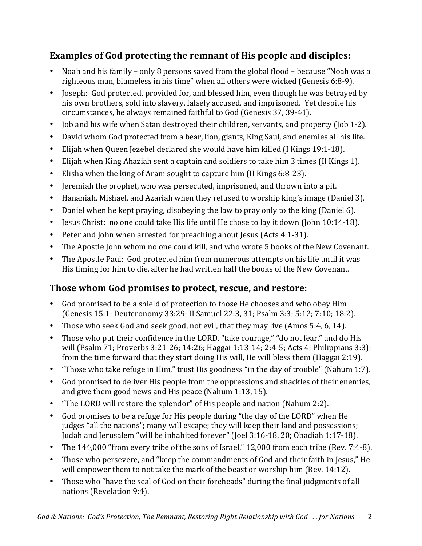# **Examples of God protecting the remnant of His people and disciples:**

- Noah and his family only 8 persons saved from the global flood because "Noah was a righteous man, blameless in his time" when all others were wicked (Genesis 6:8-9).
- Joseph: God protected, provided for, and blessed him, even though he was betrayed by his own brothers, sold into slavery, falsely accused, and imprisoned. Yet despite his circumstances, he always remained faithful to God (Genesis 37, 39-41).
- Iob and his wife when Satan destroyed their children, servants, and property (Iob 1-2).
- David whom God protected from a bear, lion, giants, King Saul, and enemies all his life.
- Elijah when Queen Jezebel declared she would have him killed (I Kings 19:1-18).
- Elijah when King Ahaziah sent a captain and soldiers to take him 3 times (II Kings 1).
- Elisha when the king of Aram sought to capture him (II Kings 6:8-23).
- Jeremiah the prophet, who was persecuted, imprisoned, and thrown into a pit.
- Hananiah, Mishael, and Azariah when they refused to worship king's image (Daniel 3).
- Daniel when he kept praying, disobeying the law to pray only to the king (Daniel 6).
- Jesus Christ: no one could take His life until He chose to lay it down (John 10:14-18).
- Peter and John when arrested for preaching about Jesus (Acts 4:1-31).
- The Apostle John whom no one could kill, and who wrote 5 books of the New Covenant.
- The Apostle Paul: God protected him from numerous attempts on his life until it was His timing for him to die, after he had written half the books of the New Covenant.

# **Those whom God promises to protect, rescue, and restore:**

- God promised to be a shield of protection to those He chooses and who obey Him (Genesis 15:1; Deuteronomy 33:29; II Samuel 22:3, 31; Psalm 3:3; 5:12; 7:10; 18:2).
- Those who seek God and seek good, not evil, that they may live (Amos 5:4, 6, 14).
- Those who put their confidence in the LORD, "take courage," "do not fear," and do His will (Psalm 71; Proverbs 3:21-26; 14:26; Haggai 1:13-14; 2:4-5; Acts 4; Philippians 3:3); from the time forward that they start doing His will, He will bless them (Haggai 2:19).
- "Those who take refuge in Him," trust His goodness "in the day of trouble" (Nahum 1:7).
- God promised to deliver His people from the oppressions and shackles of their enemies, and give them good news and His peace (Nahum  $1:13, 15$ ).
- "The LORD will restore the splendor" of His people and nation (Nahum 2:2).
- God promises to be a refuge for His people during "the day of the LORD" when He judges "all the nations"; many will escape; they will keep their land and possessions; Judah and Jerusalem "will be inhabited forever" (Joel 3:16-18, 20; Obadiah 1:17-18).
- The  $144,000$  "from every tribe of the sons of Israel,"  $12,000$  from each tribe (Rev. 7:4-8).
- Those who persevere, and "keep the commandments of God and their faith in Jesus," He will empower them to not take the mark of the beast or worship him (Rev.  $14:12$ ).
- Those who "have the seal of God on their foreheads" during the final judgments of all nations (Revelation 9:4).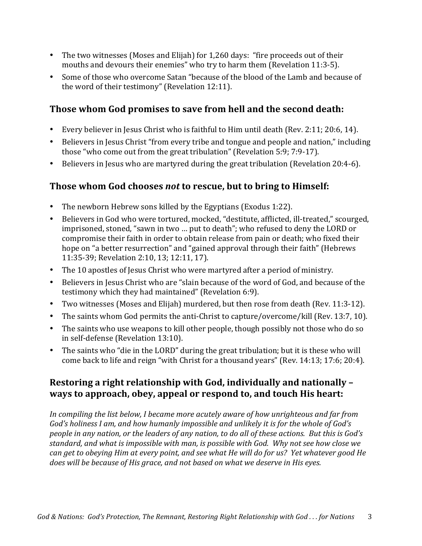- The two witnesses (Moses and Elijah) for  $1,260$  days: "fire proceeds out of their mouths and devours their enemies" who try to harm them (Revelation 11:3-5).
- Some of those who overcome Satan "because of the blood of the Lamb and because of the word of their testimony" (Revelation 12:11).

#### Those whom God promises to save from hell and the second death:

- Every believer in Jesus Christ who is faithful to Him until death (Rev. 2:11; 20:6, 14).
- Believers in Jesus Christ "from every tribe and tongue and people and nation," including those "who come out from the great tribulation" (Revelation  $5:9$ ;  $7:9-17$ ).
- Believers in Jesus who are martyred during the great tribulation (Revelation 20:4-6).

#### **Those whom God chooses** *not* **to rescue, but to bring to Himself:**

- The newborn Hebrew sons killed by the Egyptians (Exodus 1:22).
- Believers in God who were tortured, mocked, "destitute, afflicted, ill-treated," scourged, imprisoned, stoned, "sawn in two ... put to death"; who refused to deny the LORD or compromise their faith in order to obtain release from pain or death; who fixed their hope on "a better resurrection" and "gained approval through their faith" (Hebrews 11:35-39; Revelation 2:10, 13; 12:11, 17).
- The 10 apostles of Jesus Christ who were martyred after a period of ministry.
- Believers in Jesus Christ who are "slain because of the word of God, and because of the testimony which they had maintained" (Revelation 6:9).
- Two witnesses (Moses and Elijah) murdered, but then rose from death (Rev. 11:3-12).
- The saints whom God permits the anti-Christ to capture/overcome/kill (Rev. 13:7, 10).
- The saints who use weapons to kill other people, though possibly not those who do so in self-defense (Revelation 13:10).
- The saints who "die in the LORD" during the great tribulation; but it is these who will come back to life and reign "with Christ for a thousand years" (Rev. 14:13; 17:6; 20:4).

#### **Restoring a right relationship with God, individually and nationally – ways to approach, obey, appeal or respond to, and touch His heart:**

In compiling the list below, I became more acutely aware of how unrighteous and far from God's holiness I am, and how humanly impossible and unlikely it is for the whole of God's *people in any nation, or the leaders of any nation, to do all of these actions. But this is God's* standard, and what is impossible with man, is possible with God. Why not see how close we *can get* to obeying Him at every point, and see what He will do for us? Yet whatever good He *does* will be because of His grace, and not based on what we deserve in His eyes.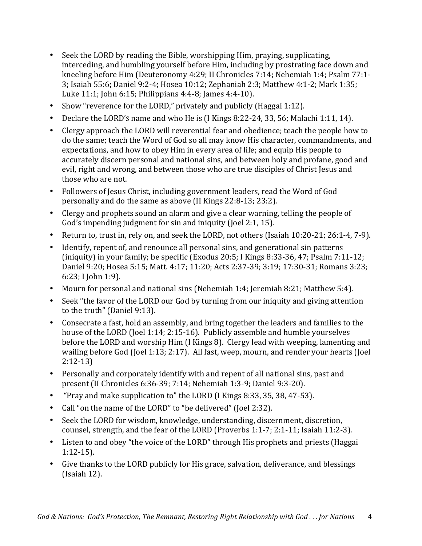- Seek the LORD by reading the Bible, worshipping Him, praying, supplicating, interceding, and humbling yourself before Him, including by prostrating face down and kneeling before Him (Deuteronomy 4:29; II Chronicles 7:14; Nehemiah 1:4; Psalm 77:1-3; Isaiah 55:6; Daniel 9:2-4; Hosea 10:12; Zephaniah 2:3; Matthew 4:1-2; Mark 1:35; Luke  $11:1$ ; John  $6:15$ ; Philippians  $4:4-8$ ; James  $4:4-10$ ).
- Show "reverence for the LORD," privately and publicly (Haggai 1:12).
- Declare the LORD's name and who He is  $(1$  Kings 8:22-24, 33, 56; Malachi 1:11, 14).
- Clergy approach the LORD will reverential fear and obedience; teach the people how to do the same; teach the Word of God so all may know His character, commandments, and expectations, and how to obey Him in every area of life; and equip His people to accurately discern personal and national sins, and between holy and profane, good and evil, right and wrong, and between those who are true disciples of Christ Jesus and those who are not.
- Followers of Jesus Christ, including government leaders, read the Word of God personally and do the same as above (II Kings 22:8-13; 23:2).
- Clergy and prophets sound an alarm and give a clear warning, telling the people of God's impending judgment for sin and iniquity (Joel 2:1, 15).
- Return to, trust in, rely on, and seek the LORD, not others (Isaiah 10:20-21; 26:1-4, 7-9).
- Identify, repent of, and renounce all personal sins, and generational sin patterns (iniquity) in your family; be specific (Exodus 20:5; I Kings 8:33-36, 47; Psalm 7:11-12; Daniel 9:20; Hosea 5:15; Matt. 4:17; 11:20; Acts 2:37-39; 3:19; 17:30-31; Romans 3:23; 6:23; I John 1:9).
- Mourn for personal and national sins (Nehemiah 1:4; Jeremiah 8:21; Matthew 5:4).
- Seek "the favor of the LORD our God by turning from our iniquity and giving attention to the truth" (Daniel 9:13).
- Consecrate a fast, hold an assembly, and bring together the leaders and families to the house of the LORD (Joel  $1:14$ ;  $2:15-16$ ). Publicly assemble and humble vourselves before the LORD and worship Him (I Kings 8). Clergy lead with weeping, lamenting and wailing before God (Joel 1:13; 2:17). All fast, weep, mourn, and render your hearts (Joel 2:12-13)
- Personally and corporately identify with and repent of all national sins, past and present (II Chronicles 6:36-39; 7:14; Nehemiah 1:3-9; Daniel 9:3-20).
- "Pray and make supplication to" the LORD (I Kings 8:33, 35, 38, 47-53).
- Call "on the name of the LORD" to "be delivered" (Joel 2:32).
- Seek the LORD for wisdom, knowledge, understanding, discernment, discretion, counsel, strength, and the fear of the LORD (Proverbs 1:1-7; 2:1-11; Isaiah 11:2-3).
- Listen to and obey "the voice of the LORD" through His prophets and priests (Haggai 1:12-15).
- Give thanks to the LORD publicly for His grace, salvation, deliverance, and blessings  $(Isaiah 12)$ .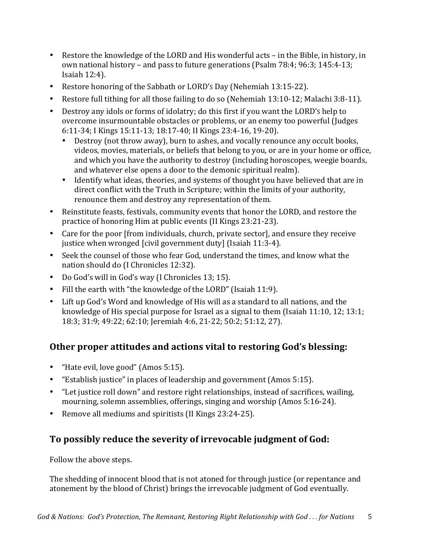- Restore the knowledge of the LORD and His wonderful acts in the Bible, in history, in own national history - and pass to future generations (Psalm 78:4; 96:3; 145:4-13; Isaiah  $12:4$ ).
- Restore honoring of the Sabbath or LORD's Day (Nehemiah 13:15-22).
- Restore full tithing for all those failing to do so (Nehemiah 13:10-12; Malachi 3:8-11).
- Destroy any idols or forms of idolatry; do this first if you want the LORD's help to overcome insurmountable obstacles or problems, or an enemy too powerful (Judges 6:11-34; I Kings 15:11-13; 18:17-40; II Kings 23:4-16, 19-20).
	- Destroy (not throw away), burn to ashes, and vocally renounce any occult books, videos, movies, materials, or beliefs that belong to you, or are in your home or office, and which you have the authority to destroy (including horoscopes, weegie boards, and whatever else opens a door to the demonic spiritual realm).
	- Identify what ideas, theories, and systems of thought you have believed that are in direct conflict with the Truth in Scripture; within the limits of your authority, renounce them and destroy any representation of them.
- Reinstitute feasts, festivals, community events that honor the LORD, and restore the practice of honoring Him at public events (II Kings 23:21-23).
- Care for the poor [from individuals, church, private sector], and ensure they receive justice when wronged [civil government duty] (Isaiah 11:3-4).
- Seek the counsel of those who fear God, understand the times, and know what the nation should do (I Chronicles 12:32).
- Do God's will in God's way (I Chronicles 13; 15).
- Fill the earth with "the knowledge of the LORD" (Isaiah 11:9).
- Lift up God's Word and knowledge of His will as a standard to all nations, and the knowledge of His special purpose for Israel as a signal to them (Isaiah  $11:10$ ,  $12$ ;  $13:1$ ; 18:3; 31:9; 49:22; 62:10; Jeremiah 4:6, 21-22; 50:2; 51:12, 27).

#### **Other proper attitudes and actions vital to restoring God's blessing:**

- "Hate evil, love good" (Amos 5:15).
- "Establish justice" in places of leadership and government (Amos  $5:15$ ).
- "Let justice roll down" and restore right relationships, instead of sacrifices, wailing, mourning, solemn assemblies, offerings, singing and worship (Amos 5:16-24).
- Remove all mediums and spiritists (II Kings 23:24-25).

# To possibly reduce the severity of irrevocable judgment of God:

Follow the above steps.

The shedding of innocent blood that is not atoned for through justice (or repentance and atonement by the blood of Christ) brings the irrevocable judgment of God eventually.